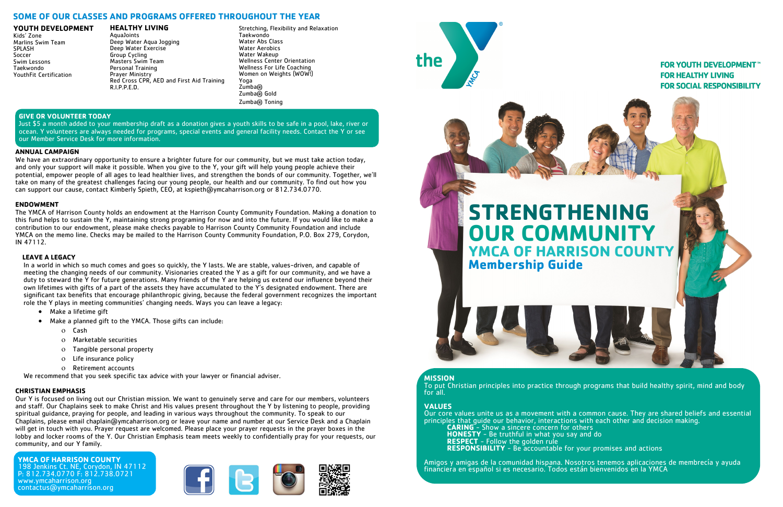#### **YOUTH DEVELOPMENT**

Kids' Zone Marlins Swim Team SPLASH Soccer Swim Lessons Taekwondo YouthFit Certification

#### **HEALTHY LIVING** AquaJoints Deep Water Aqua Jogging Deep Water Exercise Group Cycling Masters Swim Team Personal Training Prayer Ministry Red Cross CPR, AED and First Aid Training R.I.P.P.E.D.

#### **ANNUAL CAMPAIGN**

We have an extraordinary opportunity to ensure a brighter future for our community, but we must take action today, and only your support will make it possible. When you give to the Y, your gift will help young people achieve their potential, empower people of all ages to lead healthier lives, and strengthen the bonds of our community. Together, we'll take on many of the greatest challenges facing our young people, our health and our community. To find out how you can support our cause, contact Kimberly Spieth, CEO, at kspieth@ymcaharrison.org or 812.734.0770.

#### **ENDOWMENT**

The YMCA of Harrison County holds an endowment at the Harrison County Community Foundation. Making a donation to this fund helps to sustain the Y, maintaining strong programing for now and into the future. If you would like to make a contribution to our endowment, please make checks payable to Harrison County Community Foundation and include YMCA on the memo line. Checks may be mailed to the Harrison County Community Foundation, P.O. Box 279, Corydon, IN 47112.

#### **LEAVE A LEGACY**

 In a world in which so much comes and goes so quickly, the Y lasts. We are stable, values-driven, and capable of meeting the changing needs of our community. Visionaries created the Y as a gift for our community, and we have a duty to steward the Y for future generations. Many friends of the Y are helping us extend our influence beyond their own lifetimes with gifts of a part of the assets they have accumulated to the Y's designated endowment. There are significant tax benefits that encourage philanthropic giving, because the federal government recognizes the important role the Y plays in meeting communities' changing needs. Ways you can leave a legacy:

- Make a lifetime gift
- Make a planned gift to the YMCA. Those gifts can include:
	- o Cash
	- Marketable securities
	- Tangible personal property
	- Life insurance policy
	- Retirement accounts

We recommend that you seek specific tax advice with your lawyer or financial adviser.

#### **CHRISTIAN EMPHASIS**

Our Y is focused on living out our Christian mission. We want to genuinely serve and care for our members, volunteers and staff. Our Chaplains seek to make Christ and His values present throughout the Y by listening to people, providing spiritual guidance, praying for people, and leading in various ways throughout the community. To speak to our Chaplains, please email chaplain@ymcaharrison.org or leave your name and number at our Service Desk and a Chaplain will get in touch with you. Prayer request are welcomed. Please place your prayer requests in the prayer boxes in the lobby and locker rooms of the Y. Our Christian Emphasis team meets weekly to confidentially pray for your requests, our community, and our Y family.

**YMCA OF HARRISON COUNTY** 198 Jenkins Ct. NE, Corydon, IN 47112 P: 812.734.0770 F: 812.738.0721 www.ymcaharrison.org contactus@ymcaharrison.org





#### **GIVE OR VOLUNTEER TODAY**

Just \$5 a month added to your membership draft as a donation gives a youth skills to be safe in a pool, lake, river or ocean. Y volunteers are always needed for programs, special events and general facility needs. Contact the Y or see our Member Service Desk for more information.

# **MISSION**

To put Christian principles into practice through programs that build healthy spirit, mind and body for all.

#### **VALUES**

Our core values unite us as a movement with a common cause. They are shared beliefs and essential principles that guide our behavior, interactions with each other and decision making. **CARING** - Show a sincere concern for others **HONESTY** - Be truthful in what you say and do **RESPECT** - Follow the golden rule **RESPONSIBILITY** - Be accountable for your promises and actions

Amigos y amigas de la comunidad hispana. Nosotros tenemos aplicaciones de membrecía y ayuda financiera en español si es necesario. Todos están bienvenidos en la YMCA

**FOR YOUTH DEVELOPMENT™ FOR HEALTHY LIVING FOR SOCIAL RESPONSIBILITY** 

# **STRENGTHENING OUR COMMUNITY YMCA OF HARRISON COUNTY Membership Guide**



# **SOME OF OUR CLASSES AND PROGRAMS OFFERED THROUGHOUT THE YEAR**

Stretching, Flexibility and Relaxation Taekwondo Water Abs Class Water Aerobics Water Wakeup Wellness Center Orientation Wellness For Life Coaching Women on Weights (WOW!) Yoga Zumba® Zumba® Gold Zumba® Toning

the